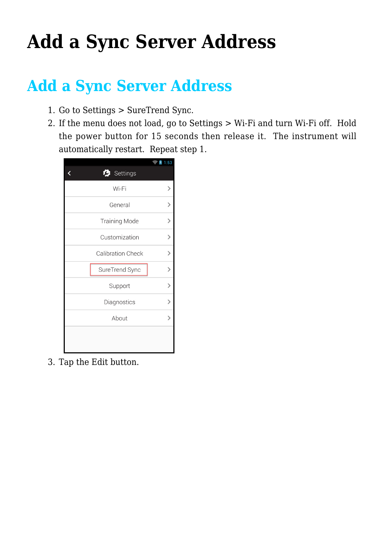## **[Add a Sync Server Address](https://help.hygiena.com/kb-doc/adding-a-new-sync-server-address/)**

## **Add a Sync Server Address**

- 1. Go to Settings > SureTrend Sync.
- 2. If the menu does not load, go to Settings > Wi-Fi and turn Wi-Fi off. Hold the power button for 15 seconds then release it. The instrument will automatically restart. Repeat step 1.



3. Tap the Edit button.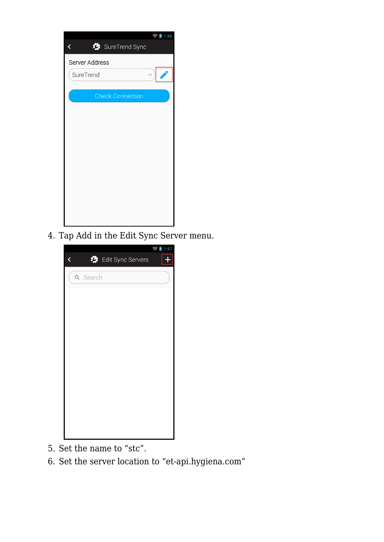|                         | 1:56 |
|-------------------------|------|
| SureTrend Sync<br>く     |      |
| Server Address          |      |
| SureTrend               |      |
|                         |      |
| <b>Check Connection</b> |      |
|                         |      |
|                         |      |
|                         |      |
|                         |      |
|                         |      |
|                         |      |
|                         |      |
|                         |      |
|                         |      |
|                         |      |
|                         |      |

4. Tap Add in the Edit Sync Server menu.



- 5. Set the name to "stc".
- 6. Set the server location to "et-api.hygiena.com"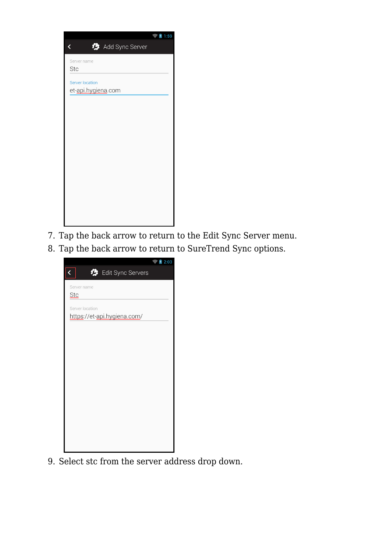

- 7. Tap the back arrow to return to the Edit Sync Server menu.
- 8. Tap the back arrow to return to SureTrend Sync options.

|                                                | 2:03 |
|------------------------------------------------|------|
| $\overline{\textbf{C}}$<br>Edit Sync Servers   |      |
| Server name<br><b>Stc</b>                      |      |
| Server location<br>https://et-api.hygiena.com/ |      |
|                                                |      |
|                                                |      |
|                                                |      |
|                                                |      |
|                                                |      |
|                                                |      |
|                                                |      |

9. Select stc from the server address drop down.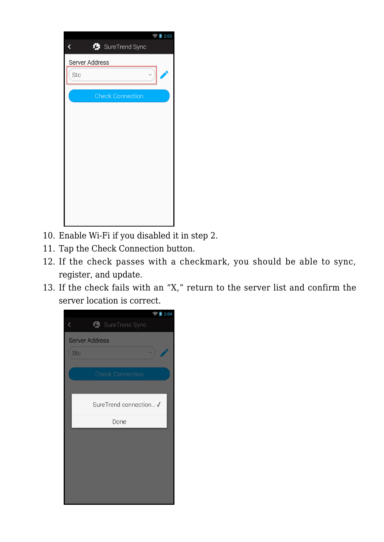| 2:02                    |
|-------------------------|
| SureTrend Sync<br>く     |
| Server Address          |
| Stc                     |
| <b>Check Connection</b> |
|                         |
|                         |
|                         |
|                         |
|                         |
|                         |
|                         |
|                         |
|                         |

- 10. Enable Wi-Fi if you disabled it in step 2.
- 11. Tap the Check Connection button.
- 12. If the check passes with a checkmark, you should be able to sync, register, and update.
- 13. If the check fails with an "X," return to the server list and confirm the server location is correct.